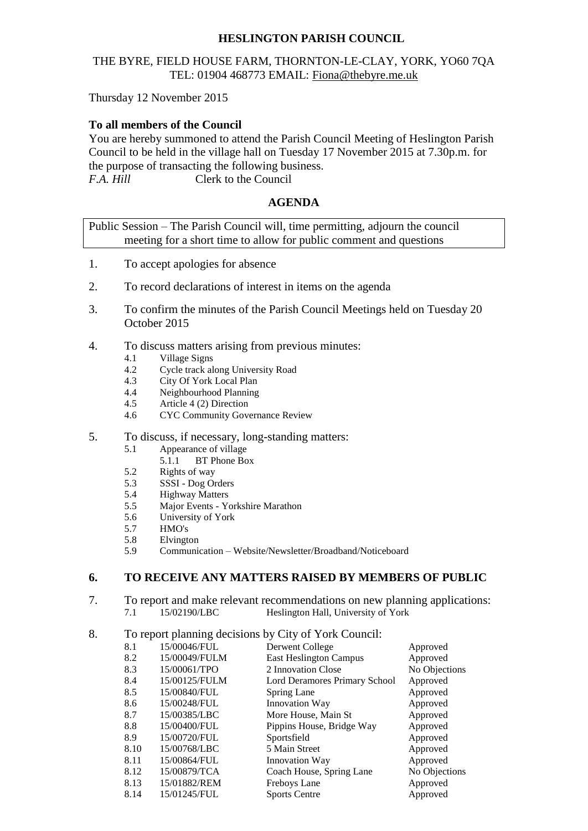# **HESLINGTON PARISH COUNCIL**

# THE BYRE, FIELD HOUSE FARM, THORNTON-LE-CLAY, YORK, YO60 7QA TEL: 01904 468773 EMAIL: [Fiona@thebyre.me.uk](mailto:Fiona@thebyre.me.uk)

Thursday 12 November 2015

# **To all members of the Council**

You are hereby summoned to attend the Parish Council Meeting of Heslington Parish Council to be held in the village hall on Tuesday 17 November 2015 at 7.30p.m. for the purpose of transacting the following business. *F.A. Hill* Clerk to the Council

### **AGENDA**

Public Session – The Parish Council will, time permitting, adjourn the council meeting for a short time to allow for public comment and questions

- 1. To accept apologies for absence
- 2. To record declarations of interest in items on the agenda
- 3. To confirm the minutes of the Parish Council Meetings held on Tuesday 20 October 2015
- 4. To discuss matters arising from previous minutes:
	- 4.1 Village Signs
	- 4.2 Cycle track along University Road
	- 4.3 City Of York Local Plan
	- 4.4 Neighbourhood Planning
	- 4.5 Article 4 (2) Direction
	- 4.6 CYC Community Governance Review

#### 5. To discuss, if necessary, long-standing matters:

- 5.1 Appearance of village<br>5.1.1 BT Phone Bo
	- BT Phone Box
- 5.2 Rights of way
- 5.3 SSSI Dog Orders<br>5.4 Highway Matters
- Highway Matters
- 5.5 Major Events Yorkshire Marathon
- 5.6 University of York
- 5.7 HMO's
- 5.8 Elvington
- 5.9 Communication Website/Newsletter/Broadband/Noticeboard

#### **6. TO RECEIVE ANY MATTERS RAISED BY MEMBERS OF PUBLIC**

7. To report and make relevant recommendations on new planning applications: 7.1 15/02190/LBC Heslington Hall, University of York

### 8. To report planning decisions by City of York Council:

| 8.1  | 15/00046/FUL  | Derwent College               | Approved      |
|------|---------------|-------------------------------|---------------|
| 8.2  | 15/00049/FULM | <b>East Heslington Campus</b> | Approved      |
| 8.3  | 15/00061/TPO  | 2 Innovation Close            | No Objections |
| 8.4  | 15/00125/FULM | Lord Deramores Primary School | Approved      |
| 8.5  | 15/00840/FUL  | Spring Lane                   | Approved      |
| 8.6  | 15/00248/FUL  | Innovation Way                | Approved      |
| 8.7  | 15/00385/LBC  | More House, Main St           | Approved      |
| 8.8  | 15/00400/FUL  | Pippins House, Bridge Way     | Approved      |
| 8.9  | 15/00720/FUL  | Sportsfield                   | Approved      |
| 8.10 | 15/00768/LBC  | 5 Main Street                 | Approved      |
| 8.11 | 15/00864/FUL  | Innovation Way                | Approved      |
| 8.12 | 15/00879/TCA  | Coach House, Spring Lane      | No Objections |
| 8.13 | 15/01882/REM  | Freboys Lane                  | Approved      |
| 8.14 | 15/01245/FUL  | <b>Sports Centre</b>          | Approved      |
|      |               |                               |               |